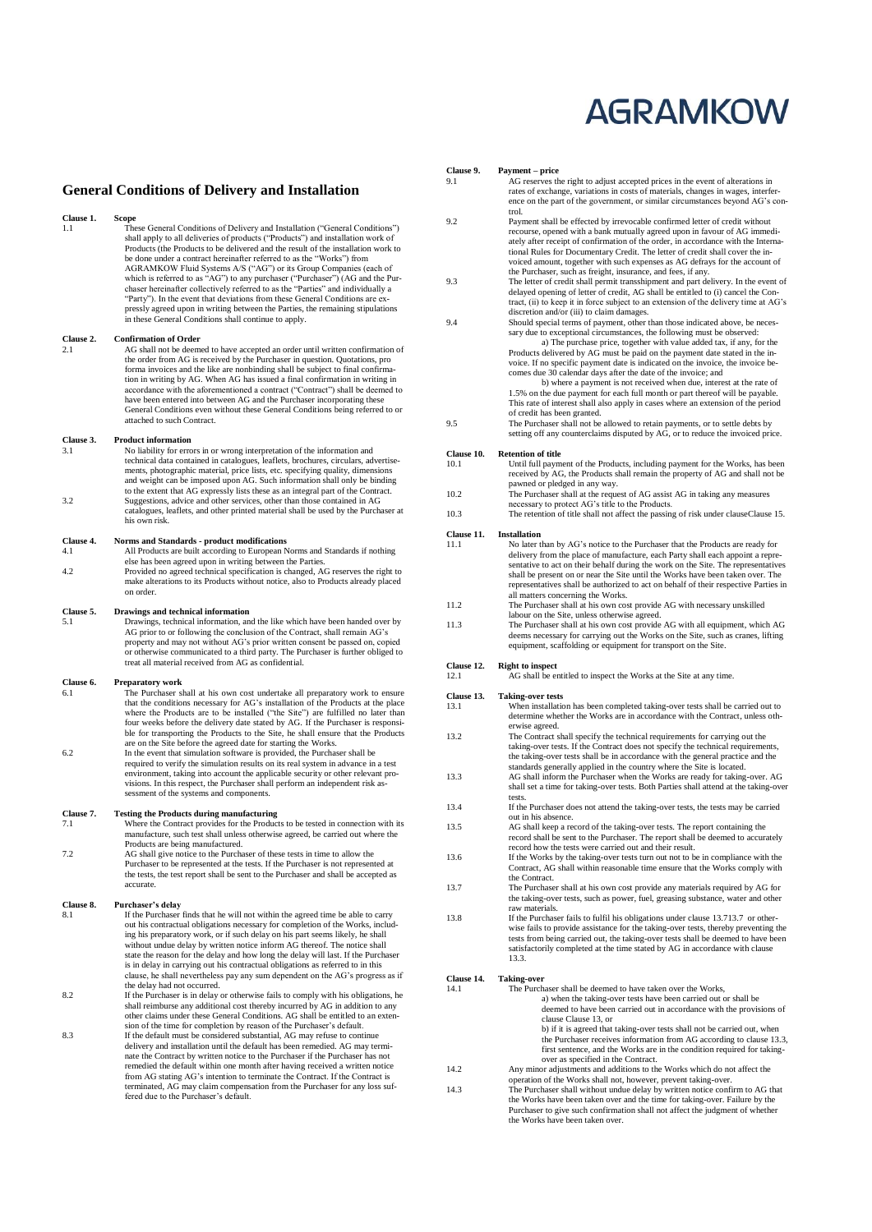# **AGRAMKOW**

#### **General Conditions of Delivery and Installation**

#### **Clause 1. Spanner**

**1.1** Scope<br>
These General Conditions of Delivery and Installation ("General Conditions")<br>
These General Conditions work of shall apply to all deliveries of products ("Products") and installation work of Products (the Products to be delivered and the result of the installation work to be done under a contract hereinafter referred to as the "Works") from AGRAMKOW Fluid Systems A/S ("AG") or its Group Companies (each of<br>which is referred to as "AG") to any purchaser ("Purchaser") (AG and the Pur-<br>chaser hereinafter collectively referred to as the "Parties" and individually "Party"). In the event that deviations from these General Conditions are ex-pressly agreed upon in writing between the Parties, the remaining stipulations in these General Conditions shall continue to apply.

#### **Clause 2. Confirmation of Order**

AG shall not be deemed to have accepted an order until written confirmation of the order from AG is received by the Purchaser in question. Quotations, pro forma invoices and the like are nonbinding shall be subject to final confirmation in writing by AG. When AG has issued a final confirmation in writing in<br>accordance with the aforementioned a contract ("Contract") shall be deemed to<br>have been entered into between AG and the Purchaser incorporating t General Conditions even without these General Conditions being referred to or attached to such Contract.

#### **Clause 3. Product information**<br>3.1 **No liability for error**

3.1 No liability for errors in or wrong interpretation of the information and technical data contained in catalogues, leaflets, brochures, circulars, advertisements, photographic material, price lists, etc. specifying quality, dimensions and weight can be imposed upon AG. Such information shall only be binding to the extent that AG expressly lists these as an integral part of the Contract. 3.2 Suggestions, advice and other services, other than those contained in AG catalogues, leaflets, and other printed material shall be used by the Purchaser at his own risk.

# **Clause 4. Norms and Standards - product modifications 4.1 All Products are built according to European N**

All Products are built according to European Norms and Standards if nothing else has been agreed upon in writing between the Parties. 4.2 Provided no agreed technical specification is changed, AG reserves the right to make alterations to its Products without notice, also to Products already placed on order.

#### **Clause 5. Drawings and technical information**

5.1 Drawings, technical information, and the like which have been handed over by AG prior to or following the conclusion of the Contract, shall remain AG's property and may not without AG's prior written consent be passed on, copied or otherwise communicated to a third party. The Purchaser is further obliged to treat all material received from AG as confidential.

#### **Clause 6. Preparatory work**

- 6.1 The Purchaser shall at his own cost undertake all preparatory work to ensure that the conditions necessary for AG's installation of the Products at the place where the Products are to be installed ("the Site") are fulfilled no later than four weeks before the delivery date stated by AG. If the Purchaser is responsible for transporting the Products to the Site, he shall ensure that the Products are on the Site before the agreed date for starting the Works. 6.2 In the event that simulation software is provided, the Purchaser shall be
- required to verify the simulation results on its real system in advance in a test environment, taking into account the applicable security or other relevant pro-visions. In this respect, the Purchaser shall perform an independent risk assessment of the systems and components.

#### **Clause 7. Testing the Products during manufacturing**<br> **T** 1 **Where the Contract provides for the Product**

- 7.1 Where the Contract provides for the Products to be tested in connection with its manufacture, such test shall unless otherwise agreed, be carried out where the Products are being manufactured.
- 7.2 AG shall give notice to the Purchaser of these tests in time to allow the Purchaser to be represented at the tests. If the Purchaser is not represented at the tests, the test report shall be sent to the Purchaser and shall be accepted as accurate.

# **Clause 8. Purchaser's delay**

- 8.1 If the Purchaser finds that he will not within the agreed time be able to carry out his contractual obligations necessary for completion of the Works, including his preparatory work, or if such delay on his part seems likely, he shall without undue delay by written notice inform AG thereof. The notice shall state the reason for the delay and how long the delay will last. If the Purchaser is in delay in carrying out his contractual obligations as referred to in this clause, he shall nevertheless pay any sum dependent on the AG's progress as if the delay had not occurred. 8.2 If the Purchaser is in delay or otherwise fails to comply with his obligations, he
- shall reimburse any additional cost thereby incurred by AG in addition to any other claims under these General Conditions. AG shall be entitled to an extension of the time for completion by reason of the Purchaser's default. 8.3 If the default must be considered substantial, AG may refuse to continue
- delivery and installation until the default has been remedied. AG may termi-nate the Contract by written notice to the Purchaser if the Purchaser has not remedied the default within one month after having received a written notice from AG stating AG's intention to terminate the Contract. If the Contract is terminated, AG may claim compensation from the Purchaser for any loss suf-fered due to the Purchaser's default.

# **Clause 9. Payment – price**

AG reserves the right to adjust accepted prices in the event of alterations in rates of exchange, variations in costs of materials, changes in wages, interfer-ence on the part of the government, or similar circumstances beyond AG's control.

- 9.2 Payment shall be effected by irrevocable confirmed letter of credit without recourse, opened with a bank mutually agreed upon in favour of AG immedi-<br>ately after receipt of confirmation of the order, in accordance with the Interna-<br>tional Rules for Documentary Credit. The letter of credit shall co voiced amount, together with such expenses as AG defrays for the account of the Purchaser, such as freight, insurance, and fees, if any.
- 9.3 The letter of credit shall permit transshipment and part delivery. In the event of delayed opening of letter of credit, AG shall be entitled to (i) cancel the Contract, (ii) to keep it in force subject to an extension of the delivery time at AG's discretion and/or (iii) to claim damages.
- 9.4 Should special terms of payment, other than those indicated above, be neces-sary due to exceptional circumstances, the following must be observed: a) The purchase price, together with value added tax, if any, for the Products delivered by AG must be paid on the payment date stated in the in-voice. If no specific payment date is indicated on the invoice, the invoice becomes due 30 calendar days after the date of the invoice; and b) where a payment is not received when due, interest at the rate of 1.5% on the due payment for each full month or part thereof will be payable. This rate of interest shall also apply in cases where an extension of the period
- of credit has been granted. 9.5 The Purchaser shall not be allowed to retain payments, or to settle debts by setting off any counterclaims disputed by AG, or to reduce the invoiced price.

#### **Clause 10. Retention of title**

- 10.1 Until full payment of the Products, including payment for the Works, has been received by AG, the Products shall remain the property of AG and shall not be
- pawned or pledged in any way.<br>
10.2 The Purchaser shall at the request of AG assist AG in taking any measures<br>
necessary to protect AG's title to the Products.
- 10.3 The retention of title shall not affect the passing of risk under claus[eClause 15.](#page-1-0)

#### **Clause 11. Installation**<br>11.1 **No later t**

- No later than by AG's notice to the Purchaser that the Products are ready for delivery from the place of manufacture, each Party shall each appoint a representative to act on their behalf during the work on the Site. The representatives shall be present on or near the Site until the Works have been taken over. The representatives shall be authorized to act on behalf of their respective Parties in all matters concerning the Works. 11.2 The Purchaser shall at his own cost provide AG with necessary unskilled
- labour on the Site, unless otherwise agreed.
- 11.3 The Purchaser shall at his own cost provide AG with all equipment, which AG deems necessary for carrying out the Works on the Site, such as cranes, lifting equipment, scaffolding or equipment for transport on the Site.
- 
- **Clause 12. Right to inspect**<br>12.1 **AG** shall be ex-AG shall be entitled to inspect the Works at the Site at any time.

- <span id="page-0-2"></span>**Clause 13. Taking-over tests** 13.1 When installation has been completed taking-over tests shall be carried out to determine whether the Works are in accordance with the Contract, unless otherwise agreed.
- 13.2 The Contract shall specify the technical requirements for carrying out the taking-over tests. If the Contract does not specify the technical requirements, the taking-over tests shall be in accordance with the general practice and the
- <span id="page-0-1"></span>standards generally applied in the country where the Site is located. 13.3 AG shall inform the Purchaser when the Works are ready for taking-over. AG shall set a time for taking-over tests. Both Parties shall attend at the taking-over
- tests. 13.4 If the Purchaser does not attend the taking-over tests, the tests may be carried out in his absence.
- 13.5 AG shall keep a record of the taking-over tests. The report containing the record shall be sent to the Purchaser. The report shall be deemed to accurately record how the tests were carried out and their result.
- 13.6 If the Works by the taking-over tests turn out not to be in compliance with the Contract, AG shall within reasonable time ensure that the Works comply with the Contract.
- <span id="page-0-0"></span>13.7 The Purchaser shall at his own cost provide any materials required by AG for the taking-over tests, such as power, fuel, greasing substance, water and other raw materials.
- 13.8 If the Purchaser fails to fulfil his obligations under claus[e 13.713.7](#page-0-0) or otherwise fails to provide assistance for the taking-over tests, thereby preventing the tests from being carried out, the taking-over tests shall be deemed to have been satisfactorily completed at the time stated by AG in accordance with clause [13.3.](#page-0-1)

#### <span id="page-0-3"></span>**Clause 14. Taking-over**

| 14.1 | The Purchaser shall be deemed to have taken over the Works,                  |
|------|------------------------------------------------------------------------------|
|      | a) when the taking-over tests have been carried out or shall be              |
|      | deemed to have been carried out in accordance with the provisions of         |
|      | clause Clause 13, or                                                         |
|      | b) if it is agreed that taking-over tests shall not be carried out, when     |
|      | the Purchaser receives information from AG according to clause 13.3,         |
|      | first sentence, and the Works are in the condition required for taking-      |
|      | over as specified in the Contract.                                           |
| 14.2 | Any minor adjustments and additions to the Works which do not affect the     |
|      | operation of the Works shall not, however, prevent taking-over.              |
| 14.3 | The Purchaser shall without undue delay by written notice confirm to AG that |
|      | the Works have been taken over and the time for taking-over. Failure by the  |
|      | Purchaser to give such confirmation shall not affect the judgment of whether |

the Works have been taken over.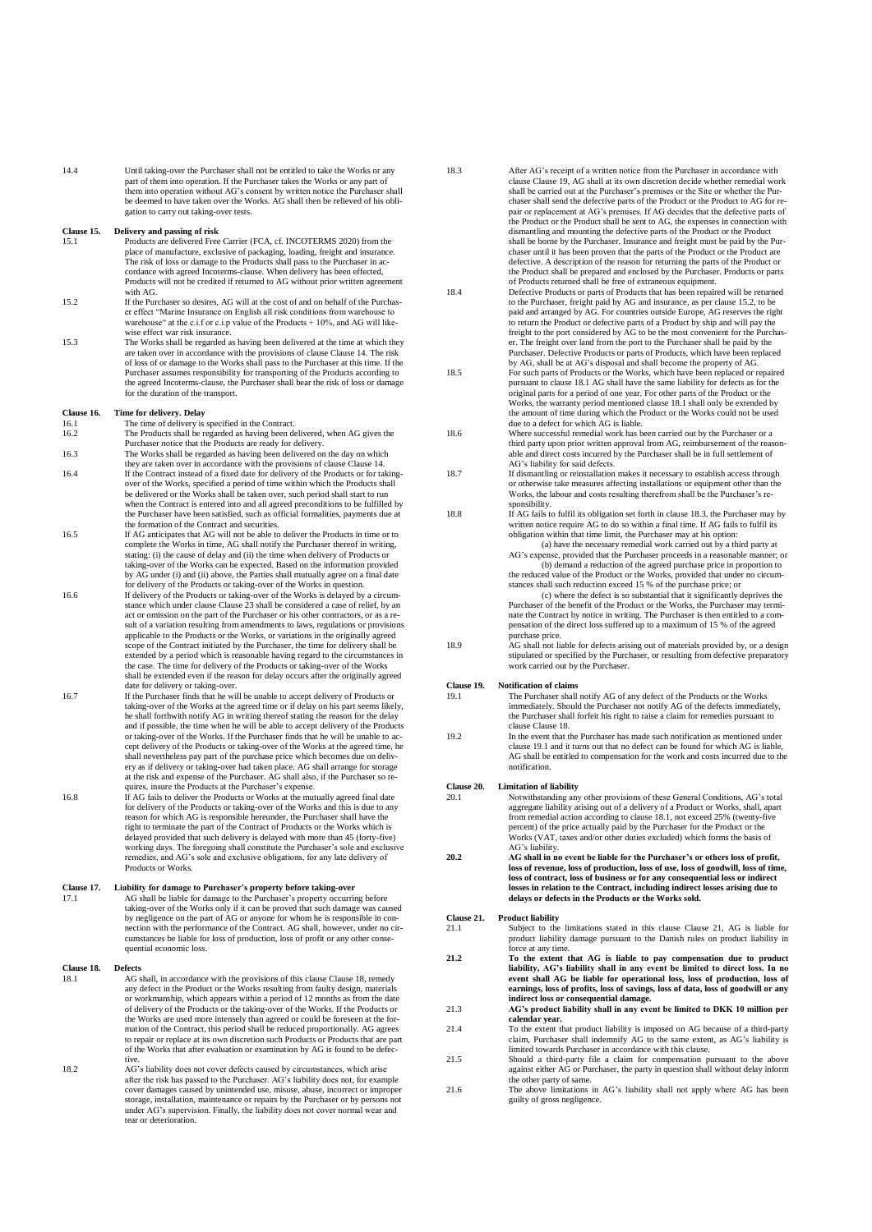<span id="page-1-8"></span>14.4 Until taking-over the Purchaser shall not be entitled to take the Works or any part of them into operation. If the Purchaser takes the Works or any part of them into operation without AG's consent by written notice the Purchaser shall be deemed to have taken over the Works. AG shall then be relieved of his obligation to carry out taking-over tests.

#### <span id="page-1-0"></span>**Clause 15. Delivery and passing of risk**

- Products are delivered Free Carrier (FCA, cf. INCOTERMS 2020) from the place of manufacture, exclusive of packaging, loading, freight and insurance. The risk of loss or damage to the Products shall pass to the Purchaser in accordance with agreed Incoterms-clause. When delivery has been effected, Products will not be credited if returned to AG without prior written agreement with AG.
- <span id="page-1-3"></span>15.2 If the Purchaser so desires, AG will at the cost of and on behalf of the Purchaser effect "Marine Insurance on English all risk conditions from warehouse to the extent warehouse" at the c.i.f or c.i.p value of the Products + 10%, and AG will likewise effect war risk insurance.
- 15.3 The Works shall be regarded as having been delivered at the time at which they are taken over in accordance with the provisions of clause [Clause 14.](#page-0-3) The risk of loss of or damage to the Works shall pass to the Purchaser at this time. If the Purchaser assumes responsibility for transporting of the Products according to the agreed Incoterms-clause, the Purchaser shall bear the risk of loss or damage for the duration of the transport.

#### **Clause 16. Time for delivery. Delay**

- 16.1 The time of delivery is specified in the Contract.<br>16.2 The Products shall be regarded as having been dependent 16.2 The Products shall be regarded as having been delivered, when AG gives the Purchaser notice that the Products are ready for delivery.
- 16.3 The Works shall be regarded as having been delivered on the day on which
- they are taken over in accordance with the provisions of clause [Clause 14.](#page-0-3) 16.4 If the Contract instead of a fixed date for delivery of the Products or for takingover of the Works, specified a period of time within which the Products shall be delivered or the Works shall be taken over, such period shall start to run when the Contract is entered into and all agreed preconditions to be fulfilled by the Purchaser have been satisfied, such as official formalities, payments due at
- the formation of the Contract and securities.<br>
16.5 If AG anticipates that AG will not be able to deliver the Products in time or to complete the Works in time, AG shall notify the Purchaser thereof in writing, stating: (i) the cause of delay and (ii) the time when delivery of Products or taking-over of the Works can be expected. Based on the information provided by AG under (i) and (ii) above, the Parties shall mutually agree on a final date
- for delivery of the Products or taking-over of the Works in question.<br>If delivery of the Products or taking-over of the Works is delayed by a circum-<br>stance which under claus[e Clause 23](#page-2-0) shall be considered a case of relief act or omission on the part of the Purchaser or his other contractors, or as a result of a variation resulting from amendments to laws, regulations or provisions applicable to the Products or the Works, or variations in the originally agreed scope of the Contract initiated by the Purchaser, the time for delivery shall be extended by a period which is reasonable having regard to the circumstances in the case. The time for delivery of the Products or taking-over of the Works shall be extended even if the reason for delay occurs after the originally agreed date for delivery or taking-over.
- 16.7 If the Purchaser finds that he will be unable to accept delivery of Products or taking-over of the Works at the agreed time or if delay on his part seems likely, he shall forthwith notify AG in writing thereof stating the reason for the delay and if possible, the time when he will be able to accept delivery of the Products or taking-over of the Works. If the Purchaser finds that he will be unable to accept delivery of the Products or taking-over of the Works at the agreed time, he shall nevertheless pay part of the purchase price which becomes due on delivery as if delivery or taking-over had taken place. AG shall arrange for storage at the risk and expense of the Purchaser. AG shall also, if the Purchaser so requires, insure the Products at the Purchaser's expense.<br>
16.8 If AG fails to deliver the Products or Works at the mutually agreed final date
- for delivery of the Products or taking-over of the Works and this is due to any reason for which AG is responsible hereunder, the Purchaser shall have the right to terminate the part of the Contract of Products or the Works which is delayed provided that such delivery is delayed with more than 45 (forty-five) working days. The foregoing shall constitute the Purchaser's sole and exclusive remedies, and AG's sole and exclusive obligations, for any late delivery of Products or Works.

#### **Clause 17. Liability for damage to Purchaser's property before taking-over** 17.1 17.1 AG shall be liable for damage to the Purchaser's property occurring before taking-over of the Works only if it can be proved that such damage was caused by negligence on the part of AG or anyone for whom he is responsible in con-nection with the performance of the Contract. AG shall, however, under no circumstances be liable for loss of production, loss of profit or any other consequential economic loss.

#### <span id="page-1-1"></span>**Clause 18. Defects**

- <span id="page-1-4"></span>18.1 AG shall, in accordance with the provisions of this clause [Clause 18,](#page-1-1) remedy any defect in the Product or the Works resulting from faulty design, materials or workmanship, which appears within a period of 12 months as from the date of delivery of the Products or the taking-over of the Works. If the Products or the Works are used more intensely than agreed or could be foreseen at the formation of the Contract, this period shall be reduced proportionally. AG agrees to repair or replace at its own discretion such Products or Products that are part of the Works that after evaluation or examination by AG is found to be defective.
- 18.2 AG's liability does not cover defects caused by circumstances, which arise after the risk has passed to the Purchaser. AG's liability does not, for example cover damages caused by unintended use, misuse, abuse, incorrect or improper<br>storage, installation, maintenance or repairs by the Purchaser or by persons not<br>under AG's supervision. Finally, the liability does not cover no tear or deterioration.
- <span id="page-1-5"></span>18.3 After AG's receipt of a written notice from the Purchaser in accordance with clause [Clause 19,](#page-1-2) AG shall at its own discretion decide whether remedial work shall be carried out at the Purchaser's premises or the Site or whether the Pur-chaser shall send the defective parts of the Product or the Product to AG for repair or replacement at AG's premises. If AG decides that the defective parts of the Product or the Product shall be sent to AG, the expenses in connection with dismantling and mounting the defective parts of the Product or the Product<br>shall be borne by the Purchaser. Insurance and freight must be paid by the Pur-<br>chaser until it has been proven that the parts of the Product or th defective. A description of the reason for returning the parts of the Product or the Product shall be prepared and enclosed by the Purchaser. Products or parts
- of Products returned shall be free of extraneous equipment. 18.4 Defective Products or parts of Products that has been repaired will be returned to the Purchaser, freight paid by AG and insurance, as per clause [15.2,](#page-1-3) to be paid and arranged by AG. For countries outside Europe, AG reserves the right to return the Product or defective parts of a Product by ship and will pay the freight to the port considered by AG to be the most convenient for the Purchas-<br>The freight over land from the port to the Purchaser shall be p
- 18.5 For such parts of Products or the Works, which have been replaced or repaired pursuant to claus[e 18.1](#page-1-4) AG shall have the same liability for defects as for the original parts for a period of one year. For other parts of the Product or the Works, the warranty period mentioned claus[e 18.1](#page-1-4) shall only be extended by the amount of time during which the Product or the Works could not be used due to a defect for which AG is liable.
- 18.6 Where successful remedial work has been carried out by the Purchaser or a third party upon prior written approval from AG, reimbursement of the reasonable and direct costs incurred by the Purchaser shall be in full settlement of AG's liability for said defects.
- 18.7 If dismantling or reinstallation makes it necessary to establish access through<br>or otherwise take measures affecting installations or equipment other than the<br>Works, the labour and costs resulting therefrom shall be t sponsibility.
- 18.8 If AG fails to fulfil its obligation set forth in claus[e 18.3,](#page-1-5) the Purchaser may by written notice require AG to do so within a final time. If AG fails to fulfil its obligation within that time limit, the Purchaser may at his option:

(a) have the necessary remedial work carried out by a third party at AG's expense, provided that the Purchaser proceeds in a reasonable manner; or (b) demand a reduction of the agreed purchase price in proportion to the reduced value of the Product or the Works, provided that under no circum-

stances shall such reduction exceed 15 % of the purchase price; or (c) where the defect is so substantial that it significantly deprives the Purchaser of the benefit of the Product or the Works, the Purchaser may terminate the Contract by notice in writing. The Purchaser is then entitled to a compensation of the direct loss suffered up to a maximum of 15 % of the agreed

purchase price.<br>
18.9 AG shall not liable for defects arising out of materials provided by, or a design stipulated or specified by the Purchaser, or resulting from defective preparatory work carried out by the Purchaser.

# <span id="page-1-2"></span>**Clause 19. Notification of claims**<br>19.1 **The Purchaser shall**

- <span id="page-1-6"></span>19.1 The Purchaser shall notify AG of any defect of the Products or the Works immediately. Should the Purchaser not notify AG of the defects immediately, the Purchaser shall forfeit his right to raise a claim for remedies pursuant to clause [Clause 18.](#page-1-1)
- 19.2 In the event that the Purchaser has made such notification as mentioned under claus[e 19.1](#page-1-6) and it turns out that no defect can be found for which AG is liable, AG shall be entitled to compensation for the work and costs incurred due to the notification.

# **Clause 20. Limitation of liability**<br>20.1 **Notwithstanding an**

- 20.1 Notwithstanding any other provisions of these General Conditions, AG's total aggregate liability arising out of a delivery of a Product or Works, shall, apart from remedial action according to claus[e 18.1,](#page-1-4) not exceed 25% (twenty-five percent) of the price actually paid by the Purchaser for the Product or the Works (VAT, taxes and/or other duties excluded) which forms the basis of AG's liability.
- **20.2 AG shall in no event be liable for the Purchaser's or others loss of profit, loss of revenue, loss of production, loss of use, loss of goodwill, loss of time, loss of contract, loss of business or for any consequential loss or indirect losses in relation to the Contract, including indirect losses arising due to delays or defects in the Products or the Works sold.**

# <span id="page-1-7"></span>**Clause 21. Product liability**

- Subject to the limitations stated in this clause [Clause 21,](#page-1-7) AG is liable for product liability damage pursuant to the Danish rules on product liability in force at any time.
- 21.2 To the extent that AG is liable to pay compensation due to product<br>liability, AG's liability shall in any event be limited to direct loss. In no<br>event shall AG be liable for operational loss, loss of production, loss
- 21.3 **AG's product liability shall in any event be limited to DKK 10 million per calendar year.**
- 21.4 To the extent that product liability is imposed on AG because of a third-party claim, Purchaser shall indemnify AG to the same extent, as AG's liability is limited towards Purchaser in accordance with this clause.
- 21.5 Should a third-party file a claim for compensation pursuant to the above against either AG or Purchaser, the party in question shall without delay inform the other party of same. 21.6 The above limitations in AG's liability shall not apply where AG has been
- guilty of gross negligene